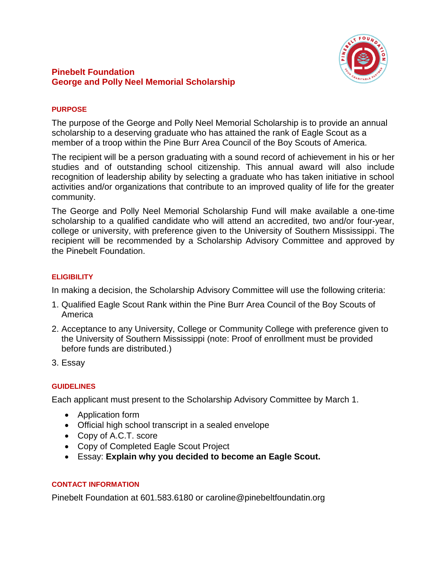

# **Pinebelt Foundation George and Polly Neel Memorial Scholarship**

### **PURPOSE**

The purpose of the George and Polly Neel Memorial Scholarship is to provide an annual scholarship to a deserving graduate who has attained the rank of Eagle Scout as a member of a troop within the Pine Burr Area Council of the Boy Scouts of America.

The recipient will be a person graduating with a sound record of achievement in his or her studies and of outstanding school citizenship. This annual award will also include recognition of leadership ability by selecting a graduate who has taken initiative in school activities and/or organizations that contribute to an improved quality of life for the greater community.

The George and Polly Neel Memorial Scholarship Fund will make available a one-time scholarship to a qualified candidate who will attend an accredited, two and/or four-year, college or university, with preference given to the University of Southern Mississippi. The recipient will be recommended by a Scholarship Advisory Committee and approved by the Pinebelt Foundation.

# **ELIGIBILITY**

In making a decision, the Scholarship Advisory Committee will use the following criteria:

- 1. Qualified Eagle Scout Rank within the Pine Burr Area Council of the Boy Scouts of America
- 2. Acceptance to any University, College or Community College with preference given to the University of Southern Mississippi (note: Proof of enrollment must be provided before funds are distributed.)
- 3. Essay

### **GUIDELINES**

Each applicant must present to the Scholarship Advisory Committee by March 1.

- Application form
- Official high school transcript in a sealed envelope
- Copy of A.C.T. score
- Copy of Completed Eagle Scout Project
- Essay: **Explain why you decided to become an Eagle Scout.**

### **CONTACT INFORMATION**

Pinebelt Foundation at 601.583.6180 or caroline@pinebeltfoundatin.org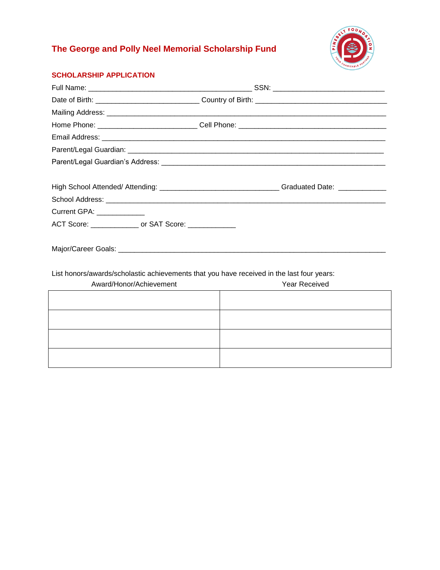# **The George and Polly Neel Memorial Scholarship Fund**



# **SCHOLARSHIP APPLICATION**

|                                                                                           | High School Attended/ Attending: _______________________________Graduated Date: ____________ |  |
|-------------------------------------------------------------------------------------------|----------------------------------------------------------------------------------------------|--|
|                                                                                           |                                                                                              |  |
| Current GPA: _____________                                                                |                                                                                              |  |
| ACT Score: ________________ or SAT Score: _____________                                   |                                                                                              |  |
|                                                                                           |                                                                                              |  |
|                                                                                           |                                                                                              |  |
|                                                                                           |                                                                                              |  |
| List honors/awards/scholastic achievements that you have received in the last four years: |                                                                                              |  |

| Award/Honor/Achievement | Year Received |
|-------------------------|---------------|
|                         |               |
|                         |               |
|                         |               |
|                         |               |